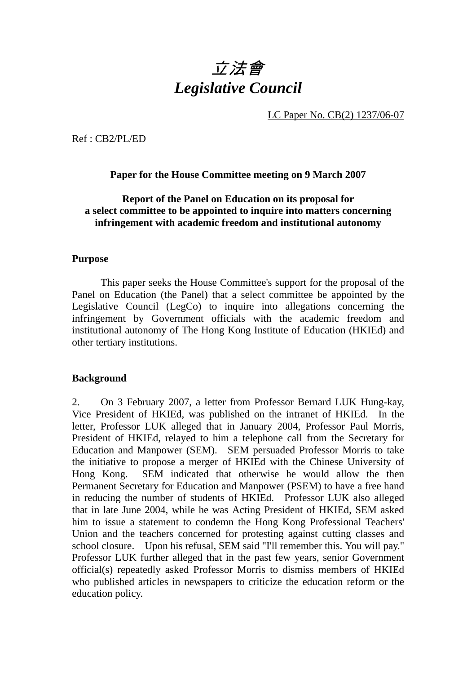# 立法會 *Legislative Council*

LC Paper No. CB(2) 1237/06-07

Ref : CB2/PL/ED

## **Paper for the House Committee meeting on 9 March 2007**

## **Report of the Panel on Education on its proposal for a select committee to be appointed to inquire into matters concerning infringement with academic freedom and institutional autonomy**

#### **Purpose**

 This paper seeks the House Committee's support for the proposal of the Panel on Education (the Panel) that a select committee be appointed by the Legislative Council (LegCo) to inquire into allegations concerning the infringement by Government officials with the academic freedom and institutional autonomy of The Hong Kong Institute of Education (HKIEd) and other tertiary institutions.

#### **Background**

2. On 3 February 2007, a letter from Professor Bernard LUK Hung-kay, Vice President of HKIEd, was published on the intranet of HKIEd. In the letter, Professor LUK alleged that in January 2004, Professor Paul Morris, President of HKIEd, relayed to him a telephone call from the Secretary for Education and Manpower (SEM). SEM persuaded Professor Morris to take the initiative to propose a merger of HKIEd with the Chinese University of Hong Kong. SEM indicated that otherwise he would allow the then Permanent Secretary for Education and Manpower (PSEM) to have a free hand in reducing the number of students of HKIEd. Professor LUK also alleged that in late June 2004, while he was Acting President of HKIEd, SEM asked him to issue a statement to condemn the Hong Kong Professional Teachers' Union and the teachers concerned for protesting against cutting classes and school closure. Upon his refusal, SEM said "I'll remember this. You will pay." Professor LUK further alleged that in the past few years, senior Government official(s) repeatedly asked Professor Morris to dismiss members of HKIEd who published articles in newspapers to criticize the education reform or the education policy.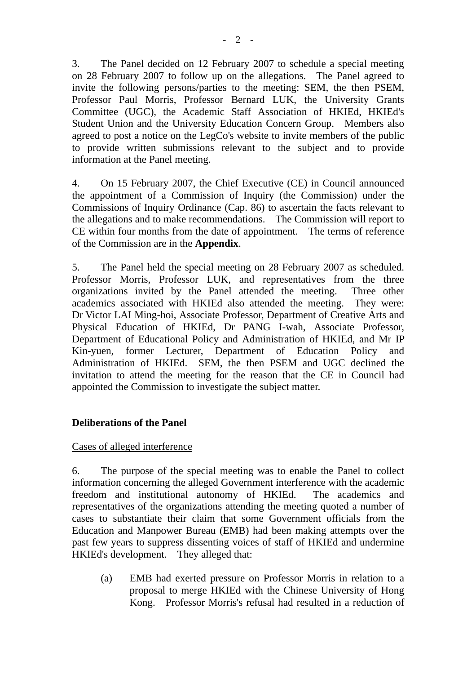3. The Panel decided on 12 February 2007 to schedule a special meeting on 28 February 2007 to follow up on the allegations. The Panel agreed to invite the following persons/parties to the meeting: SEM, the then PSEM, Professor Paul Morris, Professor Bernard LUK, the University Grants Committee (UGC), the Academic Staff Association of HKIEd, HKIEd's Student Union and the University Education Concern Group. Members also agreed to post a notice on the LegCo's website to invite members of the public to provide written submissions relevant to the subject and to provide information at the Panel meeting.

4. On 15 February 2007, the Chief Executive (CE) in Council announced the appointment of a Commission of Inquiry (the Commission) under the Commissions of Inquiry Ordinance (Cap. 86) to ascertain the facts relevant to the allegations and to make recommendations. The Commission will report to CE within four months from the date of appointment. The terms of reference of the Commission are in the **Appendix**.

5. The Panel held the special meeting on 28 February 2007 as scheduled. Professor Morris, Professor LUK, and representatives from the three organizations invited by the Panel attended the meeting. Three other academics associated with HKIEd also attended the meeting. They were: Dr Victor LAI Ming-hoi, Associate Professor, Department of Creative Arts and Physical Education of HKIEd, Dr PANG I-wah, Associate Professor, Department of Educational Policy and Administration of HKIEd, and Mr IP Kin-yuen, former Lecturer, Department of Education Policy and Administration of HKIEd. SEM, the then PSEM and UGC declined the invitation to attend the meeting for the reason that the CE in Council had appointed the Commission to investigate the subject matter.

# **Deliberations of the Panel**

## Cases of alleged interference

6. The purpose of the special meeting was to enable the Panel to collect information concerning the alleged Government interference with the academic freedom and institutional autonomy of HKIEd. The academics and representatives of the organizations attending the meeting quoted a number of cases to substantiate their claim that some Government officials from the Education and Manpower Bureau (EMB) had been making attempts over the past few years to suppress dissenting voices of staff of HKIEd and undermine HKIEd's development. They alleged that:

(a) EMB had exerted pressure on Professor Morris in relation to a proposal to merge HKIEd with the Chinese University of Hong Kong. Professor Morris's refusal had resulted in a reduction of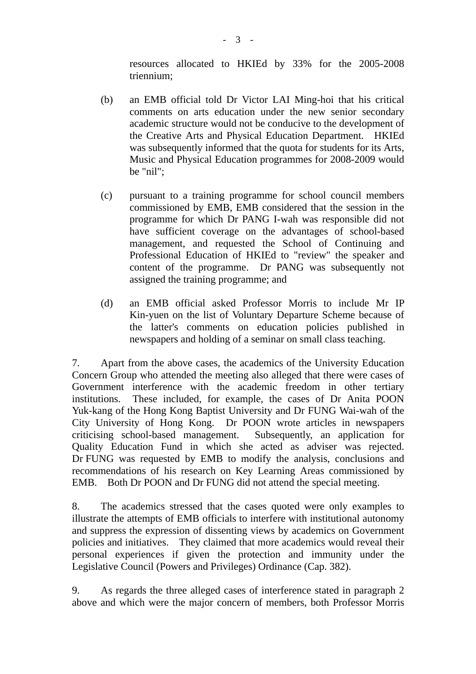resources allocated to HKIEd by 33% for the 2005-2008 triennium;

- (b) an EMB official told Dr Victor LAI Ming-hoi that his critical comments on arts education under the new senior secondary academic structure would not be conducive to the development of the Creative Arts and Physical Education Department. HKIEd was subsequently informed that the quota for students for its Arts, Music and Physical Education programmes for 2008-2009 would be "nil";
- (c) pursuant to a training programme for school council members commissioned by EMB, EMB considered that the session in the programme for which Dr PANG I-wah was responsible did not have sufficient coverage on the advantages of school-based management, and requested the School of Continuing and Professional Education of HKIEd to "review" the speaker and content of the programme. Dr PANG was subsequently not assigned the training programme; and
- (d) an EMB official asked Professor Morris to include Mr IP Kin-yuen on the list of Voluntary Departure Scheme because of the latter's comments on education policies published in newspapers and holding of a seminar on small class teaching.

7. Apart from the above cases, the academics of the University Education Concern Group who attended the meeting also alleged that there were cases of Government interference with the academic freedom in other tertiary institutions. These included, for example, the cases of Dr Anita POON Yuk-kang of the Hong Kong Baptist University and Dr FUNG Wai-wah of the City University of Hong Kong. Dr POON wrote articles in newspapers criticising school-based management. Subsequently, an application for Quality Education Fund in which she acted as adviser was rejected. Dr FUNG was requested by EMB to modify the analysis, conclusions and recommendations of his research on Key Learning Areas commissioned by EMB. Both Dr POON and Dr FUNG did not attend the special meeting.

8. The academics stressed that the cases quoted were only examples to illustrate the attempts of EMB officials to interfere with institutional autonomy and suppress the expression of dissenting views by academics on Government policies and initiatives. They claimed that more academics would reveal their personal experiences if given the protection and immunity under the Legislative Council (Powers and Privileges) Ordinance (Cap. 382).

9. As regards the three alleged cases of interference stated in paragraph 2 above and which were the major concern of members, both Professor Morris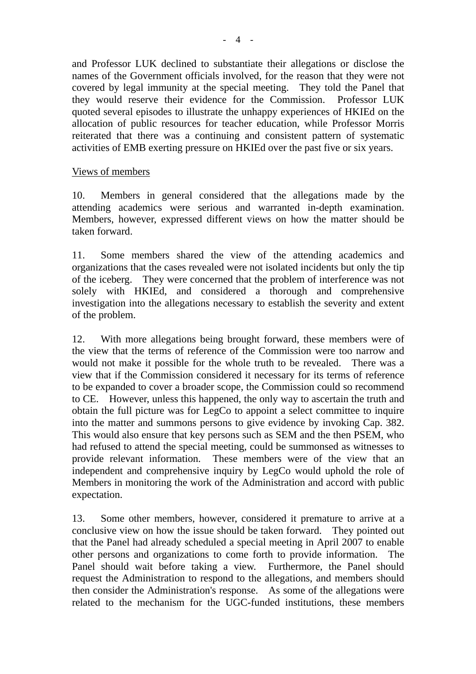and Professor LUK declined to substantiate their allegations or disclose the names of the Government officials involved, for the reason that they were not covered by legal immunity at the special meeting. They told the Panel that they would reserve their evidence for the Commission. Professor LUK quoted several episodes to illustrate the unhappy experiences of HKIEd on the allocation of public resources for teacher education, while Professor Morris reiterated that there was a continuing and consistent pattern of systematic activities of EMB exerting pressure on HKIEd over the past five or six years.

#### Views of members

10. Members in general considered that the allegations made by the attending academics were serious and warranted in-depth examination. Members, however, expressed different views on how the matter should be taken forward.

11. Some members shared the view of the attending academics and organizations that the cases revealed were not isolated incidents but only the tip of the iceberg. They were concerned that the problem of interference was not solely with HKIEd, and considered a thorough and comprehensive investigation into the allegations necessary to establish the severity and extent of the problem.

12. With more allegations being brought forward, these members were of the view that the terms of reference of the Commission were too narrow and would not make it possible for the whole truth to be revealed. There was a view that if the Commission considered it necessary for its terms of reference to be expanded to cover a broader scope, the Commission could so recommend to CE. However, unless this happened, the only way to ascertain the truth and obtain the full picture was for LegCo to appoint a select committee to inquire into the matter and summons persons to give evidence by invoking Cap. 382. This would also ensure that key persons such as SEM and the then PSEM, who had refused to attend the special meeting, could be summonsed as witnesses to provide relevant information. These members were of the view that an independent and comprehensive inquiry by LegCo would uphold the role of Members in monitoring the work of the Administration and accord with public expectation.

13. Some other members, however, considered it premature to arrive at a conclusive view on how the issue should be taken forward. They pointed out that the Panel had already scheduled a special meeting in April 2007 to enable other persons and organizations to come forth to provide information. The Panel should wait before taking a view. Furthermore, the Panel should request the Administration to respond to the allegations, and members should then consider the Administration's response. As some of the allegations were related to the mechanism for the UGC-funded institutions, these members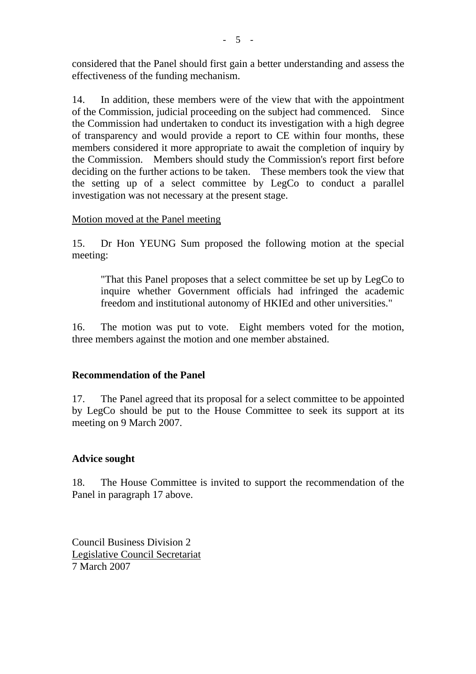considered that the Panel should first gain a better understanding and assess the effectiveness of the funding mechanism.

14. In addition, these members were of the view that with the appointment of the Commission, judicial proceeding on the subject had commenced. Since the Commission had undertaken to conduct its investigation with a high degree of transparency and would provide a report to CE within four months, these members considered it more appropriate to await the completion of inquiry by the Commission. Members should study the Commission's report first before deciding on the further actions to be taken. These members took the view that the setting up of a select committee by LegCo to conduct a parallel investigation was not necessary at the present stage.

#### Motion moved at the Panel meeting

15. Dr Hon YEUNG Sum proposed the following motion at the special meeting:

"That this Panel proposes that a select committee be set up by LegCo to inquire whether Government officials had infringed the academic freedom and institutional autonomy of HKIEd and other universities."

16. The motion was put to vote. Eight members voted for the motion, three members against the motion and one member abstained.

#### **Recommendation of the Panel**

17. The Panel agreed that its proposal for a select committee to be appointed by LegCo should be put to the House Committee to seek its support at its meeting on 9 March 2007.

## **Advice sought**

18. The House Committee is invited to support the recommendation of the Panel in paragraph 17 above.

Council Business Division 2 Legislative Council Secretariat 7 March 2007